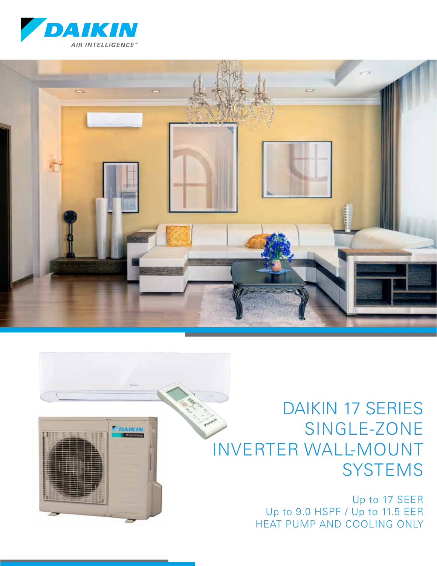





Up to 17 SEER Up to 9.0 HSPF / Up to 11.5 EER HEAT PUMP AND COOLING ONLY

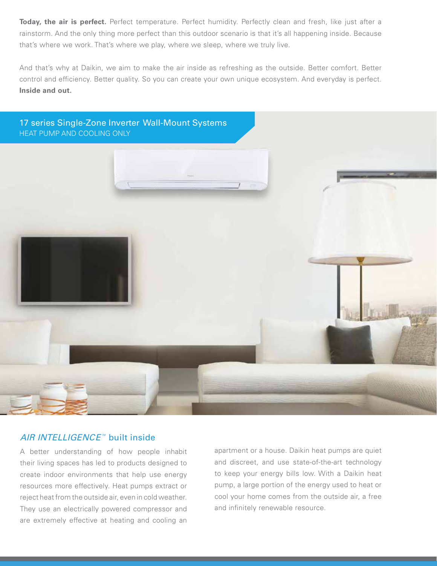**Today, the air is perfect.** Perfect temperature. Perfect humidity. Perfectly clean and fresh, like just after a rainstorm. And the only thing more perfect than this outdoor scenario is that it's all happening inside. Because that's where we work. That's where we play, where we sleep, where we truly live.

And that's why at Daikin, we aim to make the air inside as refreshing as the outside. Better comfort. Better control and efficiency. Better quality. So you can create your own unique ecosystem. And everyday is perfect. **Inside and out.**



# AIR INTELLIGENCE<sup>™</sup> built inside

A better understanding of how people inhabit their living spaces has led to products designed to create indoor environments that help use energy resources more effectively. Heat pumps extract or reject heat from the outside air, even in cold weather. They use an electrically powered compressor and are extremely effective at heating and cooling an apartment or a house. Daikin heat pumps are quiet and discreet, and use state-of-the-art technology to keep your energy bills low. With a Daikin heat pump, a large portion of the energy used to heat or cool your home comes from the outside air, a free and infinitely renewable resource.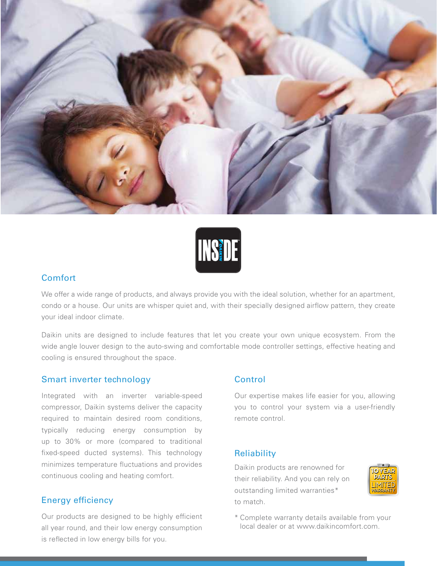



#### Comfort

We offer a wide range of products, and always provide you with the ideal solution, whether for an apartment, condo or a house. Our units are whisper quiet and, with their specially designed airflow pattern, they create your ideal indoor climate.

Daikin units are designed to include features that let you create your own unique ecosystem. From the wide angle louver design to the auto-swing and comfortable mode controller settings, effective heating and cooling is ensured throughout the space.

#### Smart inverter technology

Integrated with an inverter variable-speed compressor, Daikin systems deliver the capacity required to maintain desired room conditions, typically reducing energy consumption by up to 30% or more (compared to traditional fixed-speed ducted systems). This technology minimizes temperature fluctuations and provides continuous cooling and heating comfort.

#### Energy efficiency

Our products are designed to be highly efficient all year round, and their low energy consumption is reflected in low energy bills for you.

#### Control

Our expertise makes life easier for you, allowing you to control your system via a user-friendly remote control.

#### **Reliability**

Daikin products are renowned for their reliability. And you can rely on outstanding limited warranties\* to match.



\* Complete warranty details available from your local dealer or at www.daikincomfort.com.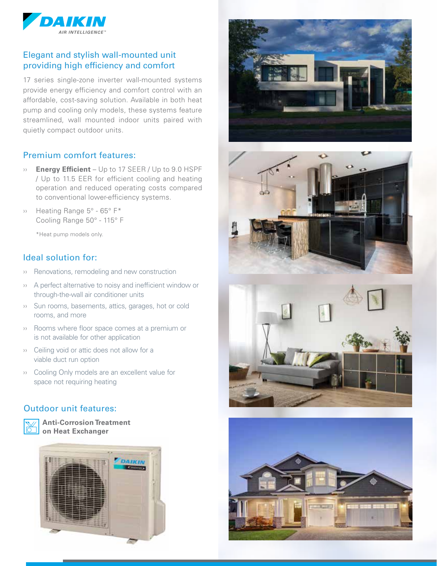

## Elegant and stylish wall-mounted unit providing high efficiency and comfort

17 series single-zone inverter wall-mounted systems provide energy efficiency and comfort control with an affordable, cost-saving solution. Available in both heat pump and cooling only models, these systems feature streamlined, wall mounted indoor units paired with quietly compact outdoor units.

# Premium comfort features:

- ›› **Energy Efficient**  Up to 17 SEER / Up to 9.0 HSPF / Up to 11.5 EER for efficient cooling and heating operation and reduced operating costs compared to conventional lower-efficiency systems.
- ›› Heating Range 5° 65° F\* Cooling Range 50° - 115° F

\*Heat pump models only.

### Ideal solution for:

- ›› Renovations, remodeling and new construction
- ›› A perfect alternative to noisy and inefficient window or through-the-wall air conditioner units
- ›› Sun rooms, basements, attics, garages, hot or cold rooms, and more
- ›› Rooms where floor space comes at a premium or is not available for other application
- ›› Ceiling void or attic does not allow for a viable duct run option
- ›› Cooling Only models are an excellent value for space not requiring heating

### Outdoor unit features:



**Anti-Corrosion Treatment b** on Heat Exchanger









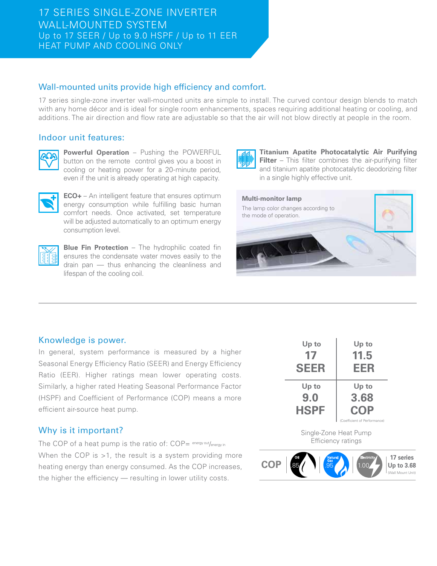## Wall-mounted units provide high efficiency and comfort.

17 series single-zone inverter wall-mounted units are simple to install. The curved contour design blends to match with any home décor and is ideal for single room enhancements, spaces requiring additional heating or cooling, and additions. The air direction and flow rate are adjustable so that the air will not blow directly at people in the room.

### Indoor unit features:



**Powerful Operation** – Pushing the POWERFUL button on the remote control gives you a boost in cooling or heating power for a 20-minute period, even if the unit is already operating at high capacity.



**ECO+** – An intelligent feature that ensures optimum energy consumption while fulfilling basic human comfort needs. Once activated, set temperature will be adjusted automatically to an optimum energy consumption level.



**Blue Fin Protection** – The hydrophilic coated fin ensures the condensate water moves easily to the drain pan — thus enhancing the cleanliness and lifespan of the cooling coil.



**Titanium Apatite Photocatalytic Air Purifying Filter** – This filter combines the air-purifying filter and titanium apatite photocatalytic deodorizing filter in a single highly effective unit.



### Knowledge is power.

In general, system performance is measured by a higher Seasonal Energy Efficiency Ratio (SEER) and Energy Efficiency Ratio (EER). Higher ratings mean lower operating costs. Similarly, a higher rated Heating Seasonal Performance Factor (HSPF) and Coefficient of Performance (COP) means a more efficient air-source heat pump.

## Why is it important?

The COP of a heat pump is the ratio of: COP= energy out/energy in When the COP is >1, the result is a system providing more heating energy than energy consumed. As the COP increases, the higher the efficiency — resulting in lower utility costs.

| Up to       | Up to                        |
|-------------|------------------------------|
| 17          | 11.5                         |
| <b>SEER</b> | EER                          |
| Up to       | Up to                        |
| 9.0         | 3.68                         |
| <b>HSPF</b> | <b>COP</b>                   |
|             | (Coefficient of Performance) |

Single-Zone Heat Pump Efficiency ratings